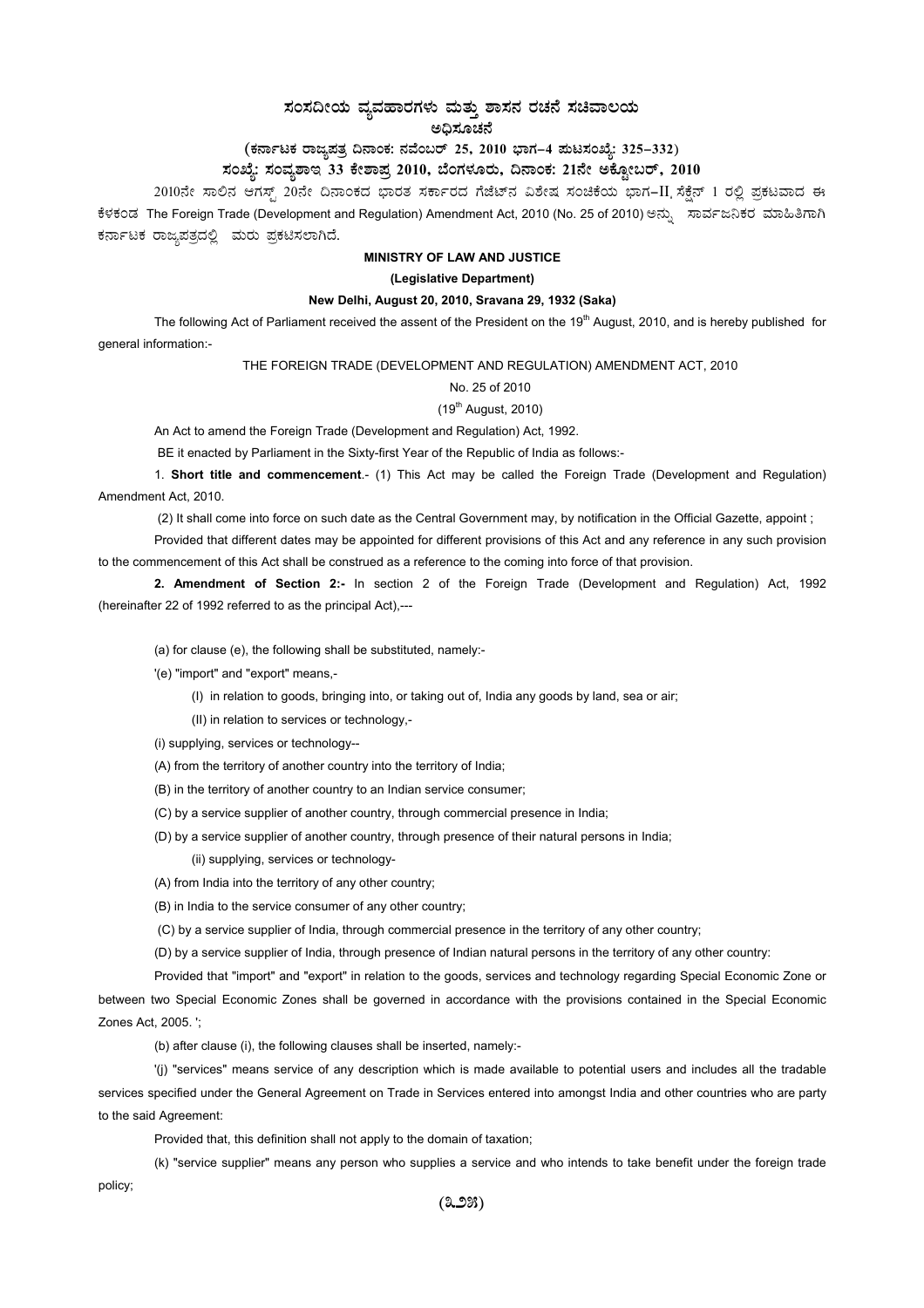# ಸಂಸದೀಯ ವ್ಯವಹಾರಗಳು ಮತ್ತು ಶಾಸನ ರಚನೆ ಸಚಿವಾಲಯ ಅಧಿಸೂಚನೆ

# (ಕರ್ನಾಟಕ ರಾಜ್ಯಪತ್ರ ದಿನಾಂಕ: ನವೆಂಬರ್ 25, 2010 ಭಾಗ–4 **ಮಟಸಂಖ್ಯೆ: 325–332**)

# ಸಂಖ್ಯೆ: ಸಂವ್ಯಶಾಇ 33 ಕೇಶಾಪ್ರ 2010, ಬೆಂಗಳೂರು, ದಿನಾಂಕ: 21ನೇ ಅಕ್ಟೋಬರ್, 2010

2010ನೇ ಸಾಲಿನ ಆಗಸ್ಟ್ 20ನೇ ದಿನಾಂಕದ ಭಾರತ ಸರ್ಕಾರದ ಗೆಜೆಟ್ನ ವಿಶೇಷ ಸಂಚಿಕೆಯ ಭಾಗ–II ಸೆಕ್ಷೆನ್ 1 ರಲ್ಲಿ ಪ್ರಕಟವಾದ ಈ ಕೆಳಕಂಡ The Foreign Trade (Development and Regulation) Amendment Act, 2010 (No. 25 of 2010) ಅನ್ಸು ಸಾರ್ವಜನಿಕರ ಮಾಹಿತಿಗಾಗಿ ಕರ್ನಾಟಕ ರಾಜ್ಯಪತ್ರದಲ್ಲಿ ಮರು ಪ್ರಕಟಿಸಲಾಗಿದೆ.

## **MINISTRY OF LAW AND JUSTICE**

### **(Legislative Department)**

### **New Delhi, August 20, 2010, Sravana 29, 1932 (Saka)**

The following Act of Parliament received the assent of the President on the 19<sup>th</sup> August, 2010, and is hereby published for general information:-

#### THE FOREIGN TRADE (DEVELOPMENT AND REGULATION) AMENDMENT ACT, 2010

## No. 25 of 2010

### $(19<sup>th</sup>$  August, 2010)

An Act to amend the Foreign Trade (Development and Regulation) Act, 1992.

BE it enacted by Parliament in the Sixty-first Year of the Republic of India as follows:-

1. **Short title and commencement**.- (1) This Act may be called the Foreign Trade (Development and Regulation) Amendment Act, 2010.

(2) It shall come into force on such date as the Central Government may, by notification in the Official Gazette, appoint ;

Provided that different dates may be appointed for different provisions of this Act and any reference in any such provision to the commencement of this Act shall be construed as a reference to the coming into force of that provision.

**2. Amendment of Section 2:-** In section 2 of the Foreign Trade (Development and Regulation) Act, 1992 (hereinafter 22 of 1992 referred to as the principal Act),---

(a) for clause (e), the following shall be substituted, namely:-

'(e) "import" and "export" means,-

(I) in relation to goods, bringing into, or taking out of, India any goods by land, sea or air;

(II) in relation to services or technology,-

(i) supplying, services or technology--

(A) from the territory of another country into the territory of India;

(B) in the territory of another country to an Indian service consumer;

(C) by a service supplier of another country, through commercial presence in India;

- (D) by a service supplier of another country, through presence of their natural persons in India; (ii) supplying, services or technology-
- (A) from India into the territory of any other country;

(B) in India to the service consumer of any other country;

(C) by a service supplier of India, through commercial presence in the territory of any other country;

(D) by a service supplier of India, through presence of Indian natural persons in the territory of any other country:

Provided that "import" and "export" in relation to the goods, services and technology regarding Special Economic Zone or between two Special Economic Zones shall be governed in accordance with the provisions contained in the Special Economic Zones Act, 2005. ';

(b) after clause (i), the following clauses shall be inserted, namely:-

'(j) "services" means service of any description which is made available to potential users and includes all the tradable services specified under the General Agreement on Trade in Services entered into amongst India and other countries who are party to the said Agreement:

Provided that, this definition shall not apply to the domain of taxation;

(k) "service supplier" means any person who supplies a service and who intends to take benefit under the foreign trade policy;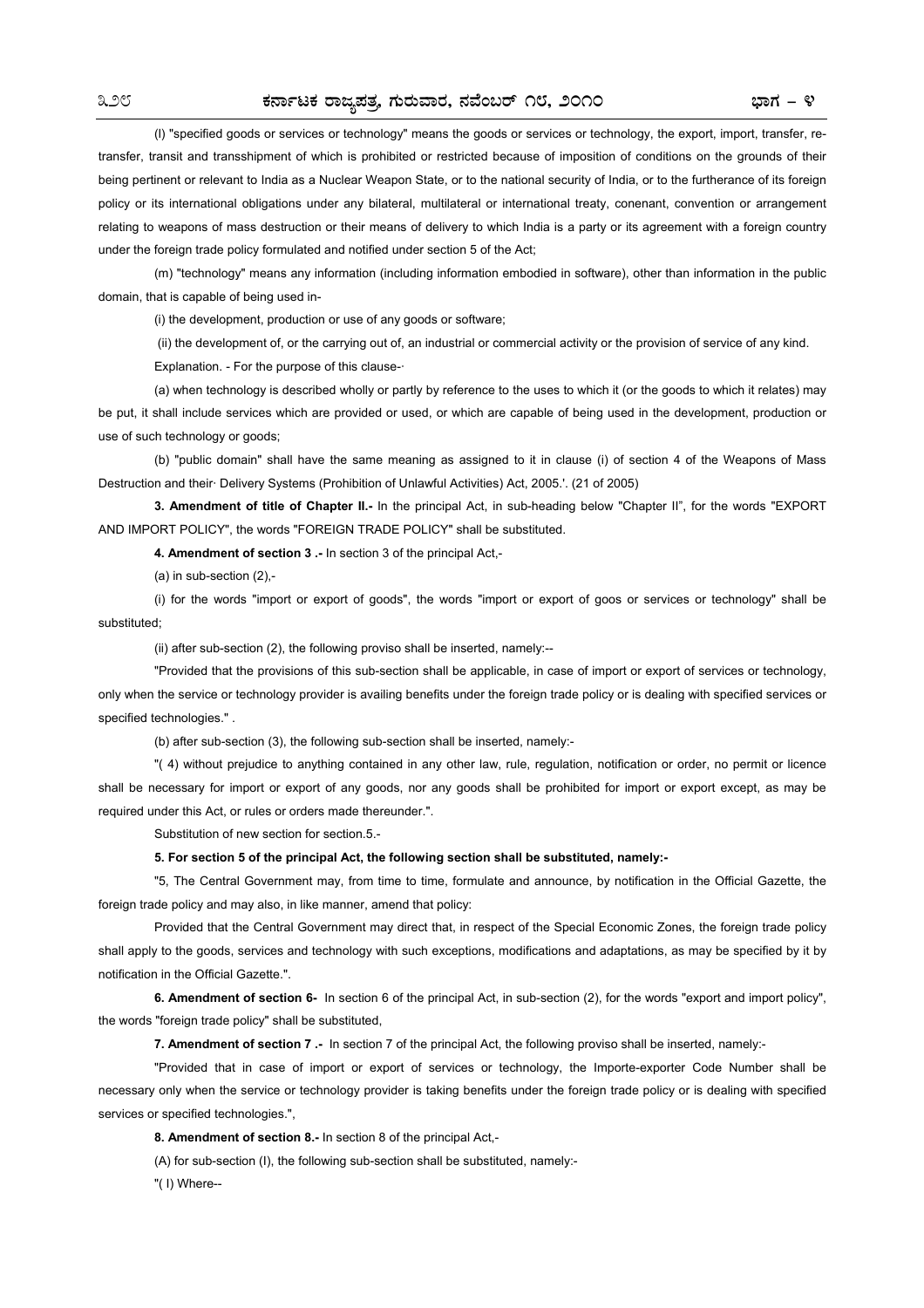(l) "specified goods or services or technology" means the goods or services or technology, the export, import, transfer, retransfer, transit and transshipment of which is prohibited or restricted because of imposition of conditions on the grounds of their being pertinent or relevant to India as a Nuclear Weapon State, or to the national security of India, or to the furtherance of its foreign policy or its international obligations under any bilateral, multilateral or international treaty, conenant, convention or arrangement relating to weapons of mass destruction or their means of delivery to which India is a party or its agreement with a foreign country under the foreign trade policy formulated and notified under section 5 of the Act;

(m) "technology" means any information (including information embodied in software), other than information in the public domain, that is capable of being used in-

(i) the development, production or use of any goods or software;

(ii) the development of, or the carrying out of, an industrial or commercial activity or the provision of service of any kind.

Explanation. - For the purpose of this clause-·

(a) when technology is described wholly or partly by reference to the uses to which it (or the goods to which it relates) may be put, it shall include services which are provided or used, or which are capable of being used in the development, production or use of such technology or goods;

(b) "public domain" shall have the same meaning as assigned to it in clause (i) of section 4 of the Weapons of Mass Destruction and their· Delivery Systems (Prohibition of Unlawful Activities) Act, 2005.'. (21 of 2005)

**3. Amendment of title of Chapter II.-** In the principal Act, in sub-heading below "Chapter II", for the words "EXPORT AND IMPORT POLICY", the words "FOREIGN TRADE POLICY" shall be substituted.

**4. Amendment of section 3 .-** In section 3 of the principal Act,-

(a) in sub-section (2),-

(i) for the words "import or export of goods", the words "import or export of goos or services or technology" shall be substituted;

(ii) after sub-section (2), the following proviso shall be inserted, namely:--

"Provided that the provisions of this sub-section shall be applicable, in case of import or export of services or technology, only when the service or technology provider is availing benefits under the foreign trade policy or is dealing with specified services or specified technologies." .

(b) after sub-section (3), the following sub-section shall be inserted, namely:-

"( 4) without prejudice to anything contained in any other law, rule, regulation, notification or order, no permit or licence shall be necessary for import or export of any goods, nor any goods shall be prohibited for import or export except, as may be required under this Act, or rules or orders made thereunder.".

Substitution of new section for section.5.-

#### **5. For section 5 of the principal Act, the following section shall be substituted, namely:-**

"5, The Central Government may, from time to time, formulate and announce, by notification in the Official Gazette, the foreign trade policy and may also, in like manner, amend that policy:

Provided that the Central Government may direct that, in respect of the Special Economic Zones, the foreign trade policy shall apply to the goods, services and technology with such exceptions, modifications and adaptations, as may be specified by it by notification in the Official Gazette.".

**6. Amendment of section 6-** In section 6 of the principal Act, in sub-section (2), for the words "export and import policy", the words "foreign trade policy" shall be substituted,

**7. Amendment of section 7 .-** In section 7 of the principal Act, the following proviso shall be inserted, namely:-

"Provided that in case of import or export of services or technology, the Importe-exporter Code Number shall be necessary only when the service or technology provider is taking benefits under the foreign trade policy or is dealing with specified services or specified technologies.",

**8. Amendment of section 8.-** In section 8 of the principal Act,-

(A) for sub-section (I), the following sub-section shall be substituted, namely:-

"( I) Where--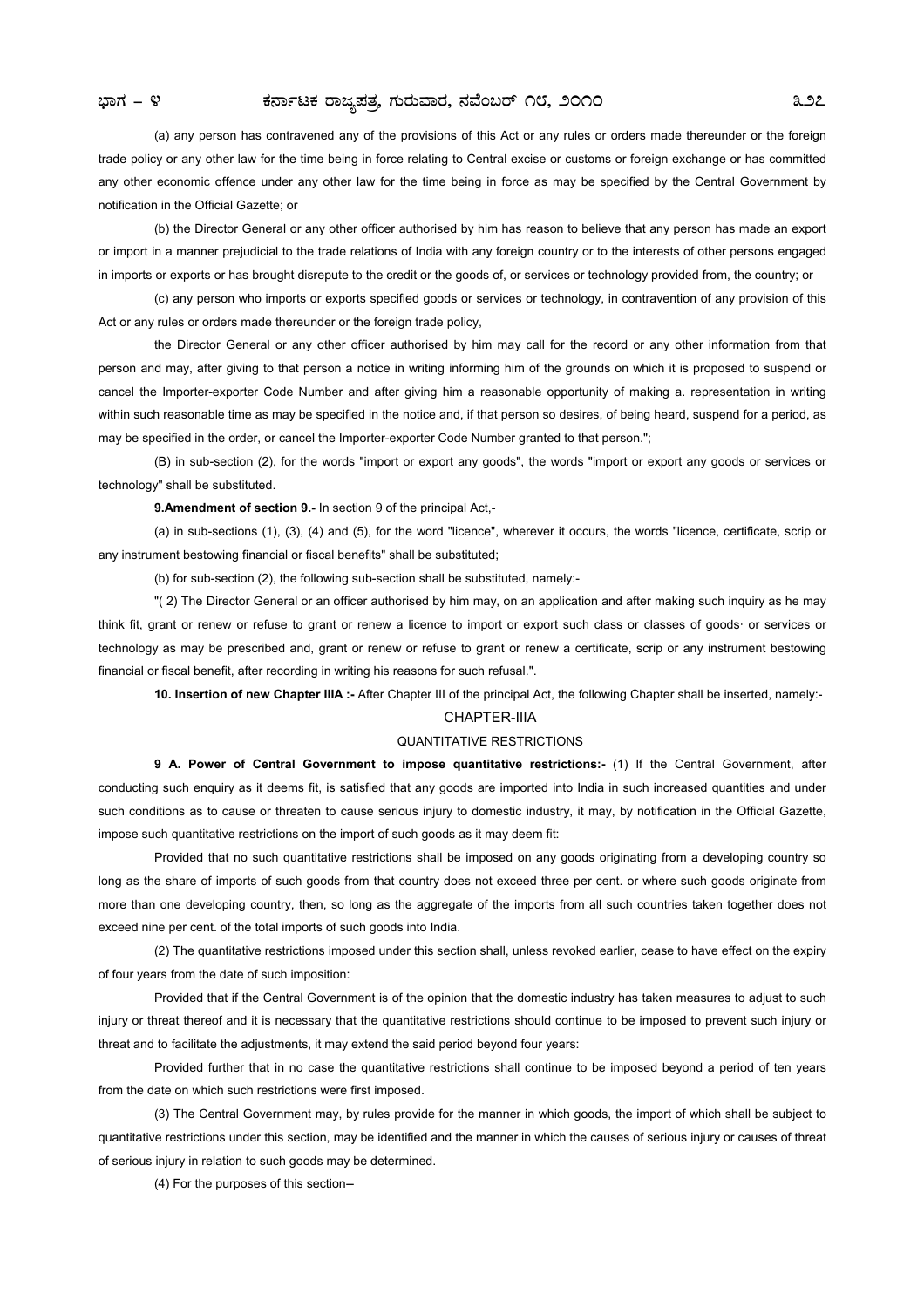(a) any person has contravened any of the provisions of this Act or any rules or orders made thereunder or the foreign trade policy or any other law for the time being in force relating to Central excise or customs or foreign exchange or has committed any other economic offence under any other law for the time being in force as may be specified by the Central Government by notification in the Official Gazette; or

(b) the Director General or any other officer authorised by him has reason to believe that any person has made an export or import in a manner prejudicial to the trade relations of India with any foreign country or to the interests of other persons engaged in imports or exports or has brought disrepute to the credit or the goods of, or services or technology provided from, the country; or

(c) any person who imports or exports specified goods or services or technology, in contravention of any provision of this Act or any rules or orders made thereunder or the foreign trade policy,

the Director General or any other officer authorised by him may call for the record or any other information from that person and may, after giving to that person a notice in writing informing him of the grounds on which it is proposed to suspend or cancel the Importer-exporter Code Number and after giving him a reasonable opportunity of making a. representation in writing within such reasonable time as may be specified in the notice and, if that person so desires, of being heard, suspend for a period, as may be specified in the order, or cancel the Importer-exporter Code Number granted to that person.";

(B) in sub-section (2), for the words "import or export any goods", the words "import or export any goods or services or technology" shall be substituted.

**9.Amendment of section 9.-** In section 9 of the principal Act,-

(a) in sub-sections (1), (3), (4) and (5), for the word "licence", wherever it occurs, the words "licence, certificate, scrip or any instrument bestowing financial or fiscal benefits" shall be substituted;

(b) for sub-section (2), the following sub-section shall be substituted, namely:-

"( 2) The Director General or an officer authorised by him may, on an application and after making such inquiry as he may think fit, grant or renew or refuse to grant or renew a licence to import or export such class or classes of goods· or services or technology as may be prescribed and, grant or renew or refuse to grant or renew a certificate, scrip or any instrument bestowing financial or fiscal benefit, after recording in writing his reasons for such refusal.".

**10. Insertion of new Chapter IIIA :-** After Chapter III of the principal Act, the following Chapter shall be inserted, namely:-

#### CHAPTER-IIIA

### QUANTITATIVE RESTRICTIONS

**9 A. Power of Central Government to impose quantitative restrictions:-** (1) If the Central Government, after conducting such enquiry as it deems fit, is satisfied that any goods are imported into India in such increased quantities and under such conditions as to cause or threaten to cause serious injury to domestic industry, it may, by notification in the Official Gazette, impose such quantitative restrictions on the import of such goods as it may deem fit:

Provided that no such quantitative restrictions shall be imposed on any goods originating from a developing country so long as the share of imports of such goods from that country does not exceed three per cent. or where such goods originate from more than one developing country, then, so long as the aggregate of the imports from all such countries taken together does not exceed nine per cent. of the total imports of such goods into India.

(2) The quantitative restrictions imposed under this section shall, unless revoked earlier, cease to have effect on the expiry of four years from the date of such imposition:

Provided that if the Central Government is of the opinion that the domestic industry has taken measures to adjust to such injury or threat thereof and it is necessary that the quantitative restrictions should continue to be imposed to prevent such injury or threat and to facilitate the adjustments, it may extend the said period beyond four years:

Provided further that in no case the quantitative restrictions shall continue to be imposed beyond a period of ten years from the date on which such restrictions were first imposed.

(3) The Central Government may, by rules provide for the manner in which goods, the import of which shall be subject to quantitative restrictions under this section, may be identified and the manner in which the causes of serious injury or causes of threat of serious injury in relation to such goods may be determined.

(4) For the purposes of this section--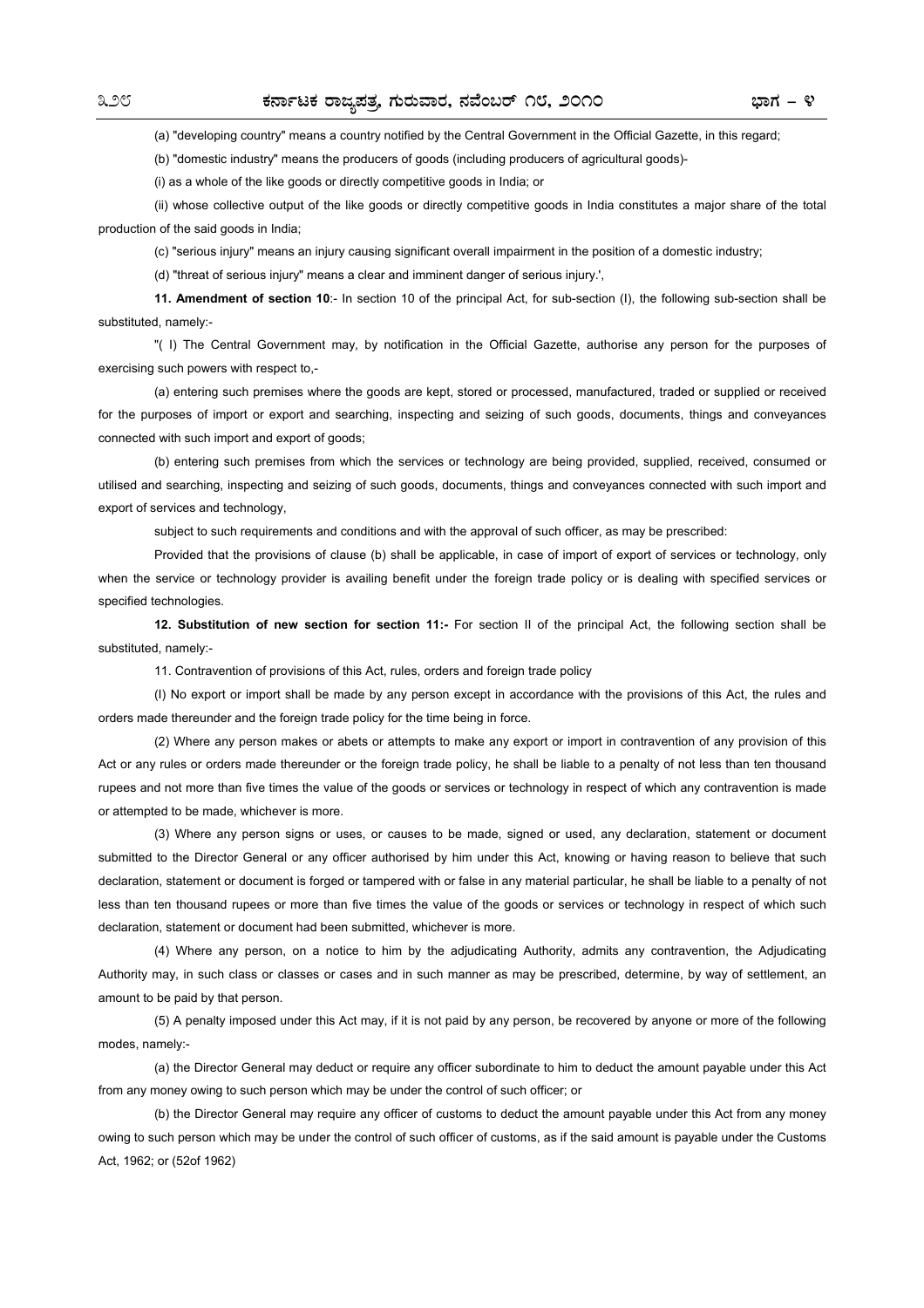(a) "developing country" means a country notified by the Central Government in the Official Gazette, in this regard;

(b) "domestic industry" means the producers of goods (including producers of agricultural goods)-

(i) as a whole of the like goods or directly competitive goods in India; or

(ii) whose collective output of the like goods or directly competitive goods in India constitutes a major share of the total production of the said goods in India;

(c) "serious injury" means an injury causing significant overall impairment in the position of a domestic industry;

(d) "threat of serious injury" means a clear and imminent danger of serious injury.',

**11. Amendment of section 10**:- In section 10 of the principal Act, for sub-section (I), the following sub-section shall be substituted, namely:-

"( I) The Central Government may, by notification in the Official Gazette, authorise any person for the purposes of exercising such powers with respect to,-

(a) entering such premises where the goods are kept, stored or processed, manufactured, traded or supplied or received for the purposes of import or export and searching, inspecting and seizing of such goods, documents, things and conveyances connected with such import and export of goods;

(b) entering such premises from which the services or technology are being provided, supplied, received, consumed or utilised and searching, inspecting and seizing of such goods, documents, things and conveyances connected with such import and export of services and technology,

subject to such requirements and conditions and with the approval of such officer, as may be prescribed:

Provided that the provisions of clause (b) shall be applicable, in case of import of export of services or technology, only when the service or technology provider is availing benefit under the foreign trade policy or is dealing with specified services or specified technologies.

**12. Substitution of new section for section 11:-** For section II of the principal Act, the following section shall be substituted, namely:-

11. Contravention of provisions of this Act, rules, orders and foreign trade policy

(I) No export or import shall be made by any person except in accordance with the provisions of this Act, the rules and orders made thereunder and the foreign trade policy for the time being in force.

(2) Where any person makes or abets or attempts to make any export or import in contravention of any provision of this Act or any rules or orders made thereunder or the foreign trade policy, he shall be liable to a penalty of not less than ten thousand rupees and not more than five times the value of the goods or services or technology in respect of which any contravention is made or attempted to be made, whichever is more.

(3) Where any person signs or uses, or causes to be made, signed or used, any declaration, statement or document submitted to the Director General or any officer authorised by him under this Act, knowing or having reason to believe that such declaration, statement or document is forged or tampered with or false in any material particular, he shall be liable to a penalty of not less than ten thousand rupees or more than five times the value of the goods or services or technology in respect of which such declaration, statement or document had been submitted, whichever is more.

(4) Where any person, on a notice to him by the adjudicating Authority, admits any contravention, the Adjudicating Authority may, in such class or classes or cases and in such manner as may be prescribed, determine, by way of settlement, an amount to be paid by that person.

(5) A penalty imposed under this Act may, if it is not paid by any person, be recovered by anyone or more of the following modes, namely:-

(a) the Director General may deduct or require any officer subordinate to him to deduct the amount payable under this Act from any money owing to such person which may be under the control of such officer; or

(b) the Director General may require any officer of customs to deduct the amount payable under this Act from any money owing to such person which may be under the control of such officer of customs, as if the said amount is payable under the Customs Act, 1962; or (52of 1962)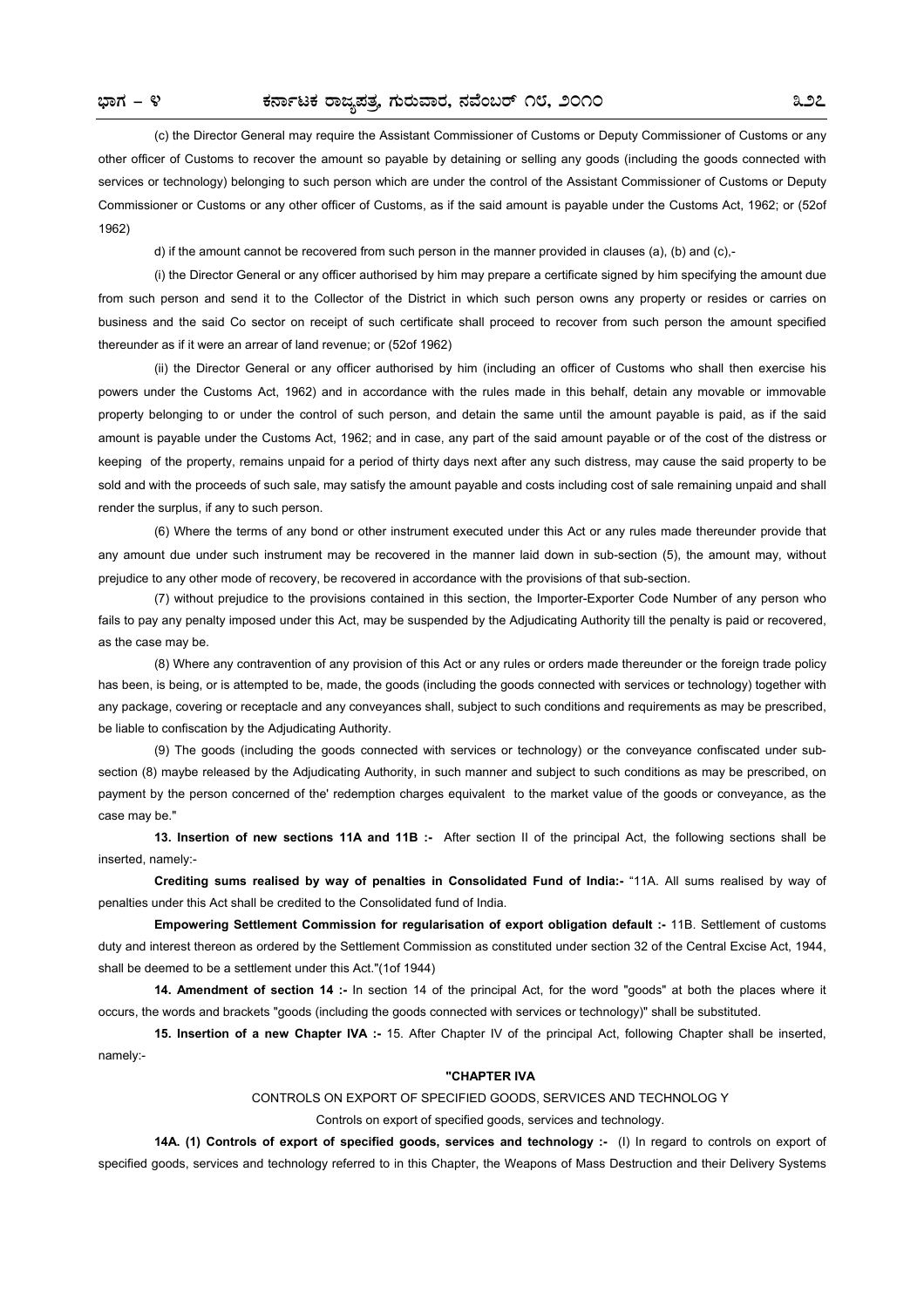(c) the Director General may require the Assistant Commissioner of Customs or Deputy Commissioner of Customs or any other officer of Customs to recover the amount so payable by detaining or selling any goods (including the goods connected with services or technology) belonging to such person which are under the control of the Assistant Commissioner of Customs or Deputy Commissioner or Customs or any other officer of Customs, as if the said amount is payable under the Customs Act, 1962; or (52of 1962)

d) if the amount cannot be recovered from such person in the manner provided in clauses (a), (b) and (c),-

(i) the Director General or any officer authorised by him may prepare a certificate signed by him specifying the amount due from such person and send it to the Collector of the District in which such person owns any property or resides or carries on business and the said Co sector on receipt of such certificate shall proceed to recover from such person the amount specified thereunder as if it were an arrear of land revenue; or (52of 1962)

(ii) the Director General or any officer authorised by him (including an officer of Customs who shall then exercise his powers under the Customs Act, 1962) and in accordance with the rules made in this behalf, detain any movable or immovable property belonging to or under the control of such person, and detain the same until the amount payable is paid, as if the said amount is payable under the Customs Act, 1962; and in case, any part of the said amount payable or of the cost of the distress or keeping of the property, remains unpaid for a period of thirty days next after any such distress, may cause the said property to be sold and with the proceeds of such sale, may satisfy the amount payable and costs including cost of sale remaining unpaid and shall render the surplus, if any to such person.

(6) Where the terms of any bond or other instrument executed under this Act or any rules made thereunder provide that any amount due under such instrument may be recovered in the manner laid down in sub-section (5), the amount may, without prejudice to any other mode of recovery, be recovered in accordance with the provisions of that sub-section.

(7) without prejudice to the provisions contained in this section, the Importer-Exporter Code Number of any person who fails to pay any penalty imposed under this Act, may be suspended by the Adjudicating Authority till the penalty is paid or recovered, as the case may be.

(8) Where any contravention of any provision of this Act or any rules or orders made thereunder or the foreign trade policy has been, is being, or is attempted to be, made, the goods (including the goods connected with services or technology) together with any package, covering or receptacle and any conveyances shall, subject to such conditions and requirements as may be prescribed, be liable to confiscation by the Adjudicating Authority.

(9) The goods (including the goods connected with services or technology) or the conveyance confiscated under subsection (8) maybe released by the Adjudicating Authority, in such manner and subject to such conditions as may be prescribed, on payment by the person concerned of the' redemption charges equivalent to the market value of the goods or conveyance, as the case may be."

**13. Insertion of new sections 11A and 11B :-** After section II of the principal Act, the following sections shall be inserted, namely:-

**Crediting sums realised by way of penalties in Consolidated Fund of India:-** "11A. All sums realised by way of penalties under this Act shall be credited to the Consolidated fund of India.

**Empowering Settlement Commission for regularisation of export obligation default :-** 11B. Settlement of customs duty and interest thereon as ordered by the Settlement Commission as constituted under section 32 of the Central Excise Act, 1944, shall be deemed to be a settlement under this Act."(1of 1944)

**14. Amendment of section 14 :-** In section 14 of the principal Act, for the word "goods" at both the places where it occurs, the words and brackets "goods (including the goods connected with services or technology)" shall be substituted.

**15. Insertion of a new Chapter IVA :-** 15. After Chapter IV of the principal Act, following Chapter shall be inserted, namely:-

### **"CHAPTER IVA**

CONTROLS ON EXPORT OF SPECIFIED GOODS, SERVICES AND TECHNOLOG Y

Controls on export of specified goods, services and technology.

**14A. (1) Controls of export of specified goods, services and technology :-** (I) In regard to controls on export of specified goods, services and technology referred to in this Chapter, the Weapons of Mass Destruction and their Delivery Systems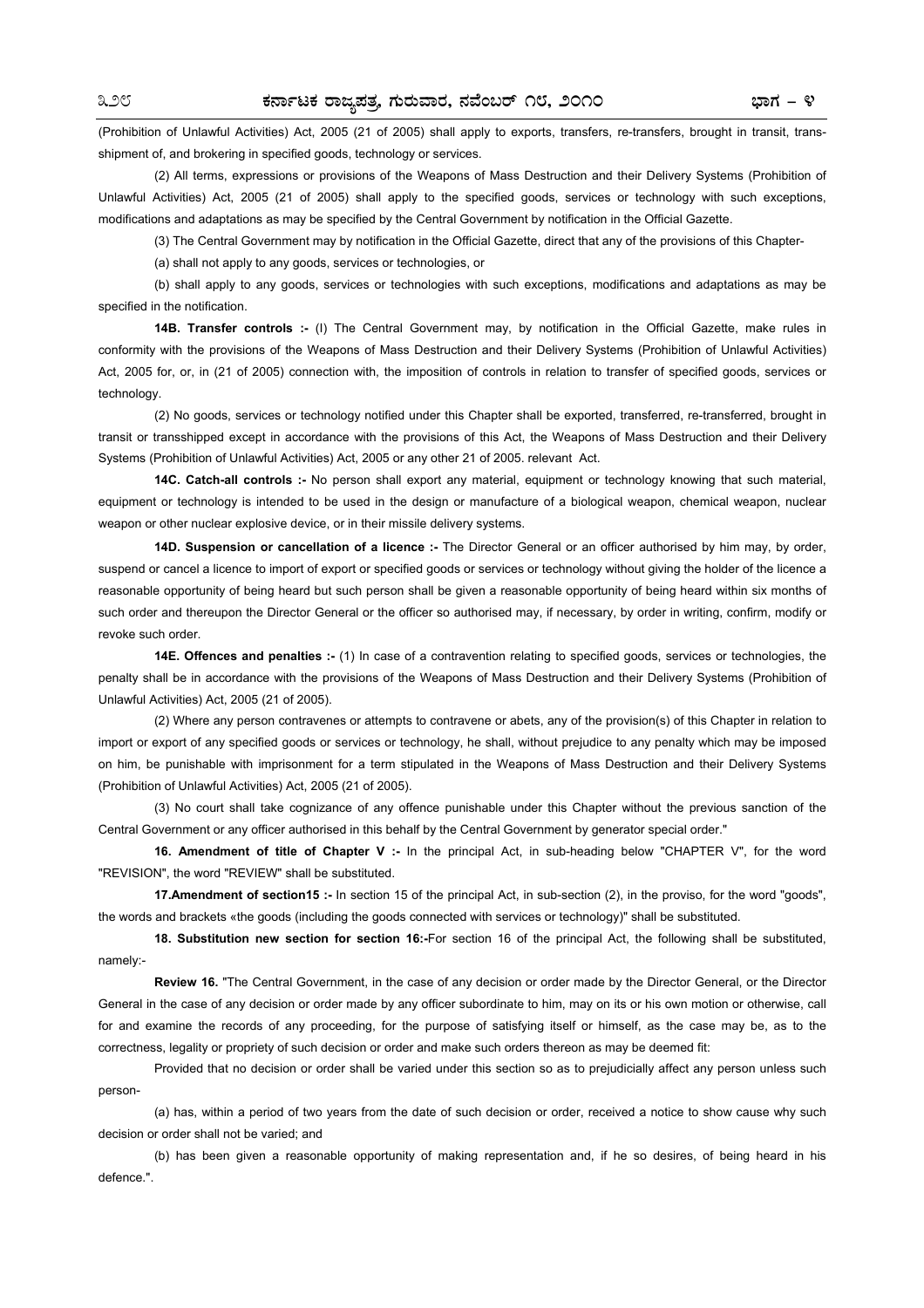(Prohibition of Unlawful Activities) Act, 2005 (21 of 2005) shall apply to exports, transfers, re-transfers, brought in transit, transshipment of, and brokering in specified goods, technology or services.

(2) All terms, expressions or provisions of the Weapons of Mass Destruction and their Delivery Systems (Prohibition of Unlawful Activities) Act, 2005 (21 of 2005) shall apply to the specified goods, services or technology with such exceptions, modifications and adaptations as may be specified by the Central Government by notification in the Official Gazette.

(3) The Central Government may by notification in the Official Gazette, direct that any of the provisions of this Chapter-

(a) shall not apply to any goods, services or technologies, or

(b) shall apply to any goods, services or technologies with such exceptions, modifications and adaptations as may be specified in the notification.

**14B. Transfer controls :-** (I) The Central Government may, by notification in the Official Gazette, make rules in conformity with the provisions of the Weapons of Mass Destruction and their Delivery Systems (Prohibition of Unlawful Activities) Act, 2005 for, or, in (21 of 2005) connection with, the imposition of controls in relation to transfer of specified goods, services or technology.

(2) No goods, services or technology notified under this Chapter shall be exported, transferred, re-transferred, brought in transit or transshipped except in accordance with the provisions of this Act, the Weapons of Mass Destruction and their Delivery Systems (Prohibition of Unlawful Activities) Act, 2005 or any other 21 of 2005. relevant Act.

**14C. Catch-all controls :-** No person shall export any material, equipment or technology knowing that such material, equipment or technology is intended to be used in the design or manufacture of a biological weapon, chemical weapon, nuclear weapon or other nuclear explosive device, or in their missile delivery systems.

**14D. Suspension or cancellation of a licence :-** The Director General or an officer authorised by him may, by order, suspend or cancel a licence to import of export or specified goods or services or technology without giving the holder of the licence a reasonable opportunity of being heard but such person shall be given a reasonable opportunity of being heard within six months of such order and thereupon the Director General or the officer so authorised may, if necessary, by order in writing, confirm, modify or revoke such order.

**14E. Offences and penalties :-** (1) In case of a contravention relating to specified goods, services or technologies, the penalty shall be in accordance with the provisions of the Weapons of Mass Destruction and their Delivery Systems (Prohibition of Unlawful Activities) Act, 2005 (21 of 2005).

(2) Where any person contravenes or attempts to contravene or abets, any of the provision(s) of this Chapter in relation to import or export of any specified goods or services or technology, he shall, without prejudice to any penalty which may be imposed on him, be punishable with imprisonment for a term stipulated in the Weapons of Mass Destruction and their Delivery Systems (Prohibition of Unlawful Activities) Act, 2005 (21 of 2005).

(3) No court shall take cognizance of any offence punishable under this Chapter without the previous sanction of the Central Government or any officer authorised in this behalf by the Central Government by generator special order."

**16. Amendment of title of Chapter V :-** In the principal Act, in sub-heading below "CHAPTER V", for the word "REVISION", the word "REVIEW" shall be substituted.

**17.Amendment of section15 :-** In section 15 of the principal Act, in sub-section (2), in the proviso, for the word "goods", the words and brackets «the goods (including the goods connected with services or technology)" shall be substituted.

**18. Substitution new section for section 16:-**For section 16 of the principal Act, the following shall be substituted, namely:-

**Review 16.** "The Central Government, in the case of any decision or order made by the Director General, or the Director General in the case of any decision or order made by any officer subordinate to him, may on its or his own motion or otherwise, call for and examine the records of any proceeding, for the purpose of satisfying itself or himself, as the case may be, as to the correctness, legality or propriety of such decision or order and make such orders thereon as may be deemed fit:

Provided that no decision or order shall be varied under this section so as to prejudicially affect any person unless such person-

(a) has, within a period of two years from the date of such decision or order, received a notice to show cause why such decision or order shall not be varied; and

(b) has been given a reasonable opportunity of making representation and, if he so desires, of being heard in his defence.".